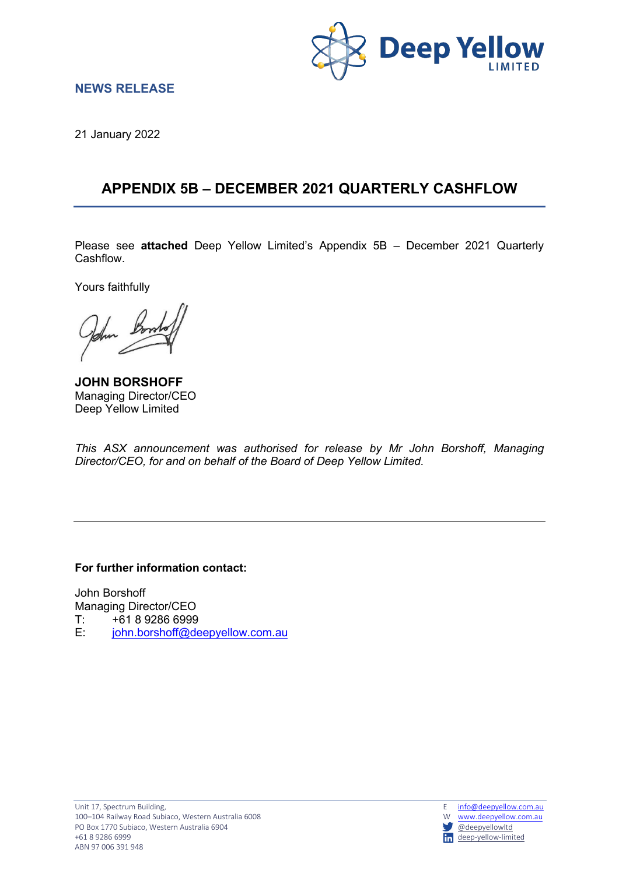

### **NEWS RELEASE**

21 January 2022

### **APPENDIX 5B – DECEMBER 2021 QUARTERLY CASHFLOW**

Please see **attached** Deep Yellow Limited's Appendix 5B – December 2021 Quarterly Cashflow.

Yours faithfully

**JOHN BORSHOFF** Managing Director/CEO Deep Yellow Limited

*This ASX announcement was authorised for release by Mr John Borshoff, Managing Director/CEO, for and on behalf of the Board of Deep Yellow Limited.*

**For further information contact:**

John Borshoff Managing Director/CEO  $T: 761892866999$ <br>F:  $\frac{\text{iohn borshoff} \odot \text{de}}{\text{on}}$ [john.borshoff@deepyellow.com.au](mailto:john.borshoff@deepyellow.com.au)

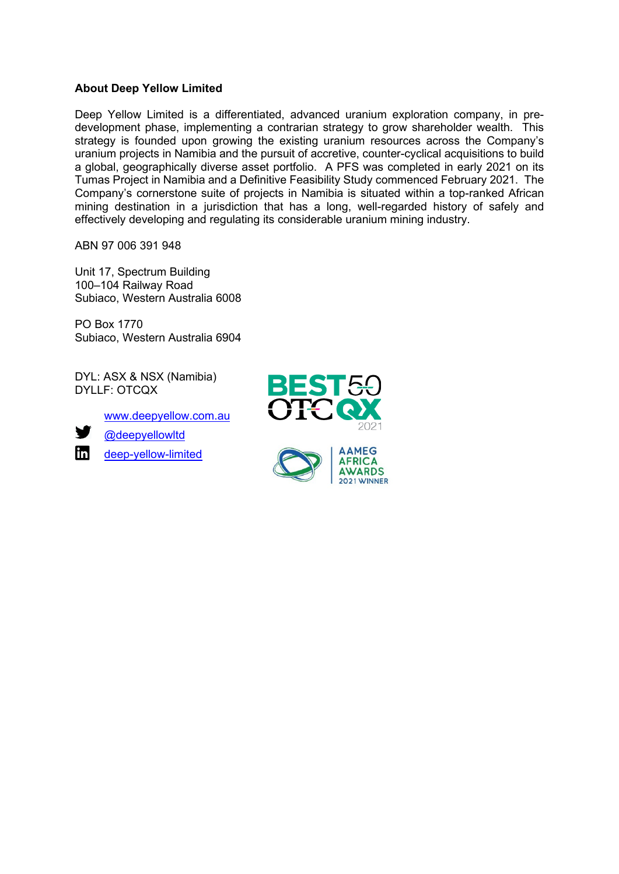### **About Deep Yellow Limited**

Deep Yellow Limited is a differentiated, advanced uranium exploration company, in predevelopment phase, implementing a contrarian strategy to grow shareholder wealth. This strategy is founded upon growing the existing uranium resources across the Company's uranium projects in Namibia and the pursuit of accretive, counter-cyclical acquisitions to build a global, geographically diverse asset portfolio. A PFS was completed in early 2021 on its Tumas Project in Namibia and a Definitive Feasibility Study commenced February 2021. The Company's cornerstone suite of projects in Namibia is situated within a top-ranked African mining destination in a jurisdiction that has a long, well-regarded history of safely and effectively developing and regulating its considerable uranium mining industry.

ABN 97 006 391 948

Unit 17, Spectrum Building 100–104 Railway Road Subiaco, Western Australia 6008

PO Box 1770 Subiaco, Western Australia 6904

DYL: ASX & NSX (Namibia) DYLLF: OTCQX

[www.deepyellow.com.au](http://www.deepyellow.com.au/)



[@deepyellowltd](http://twitter.com/DeepYellowLtd)

 $\mathbf{m}$ [deep-yellow-limited](https://www.linkedin.com/company/deep-yellow-limited/)



2021 WINNER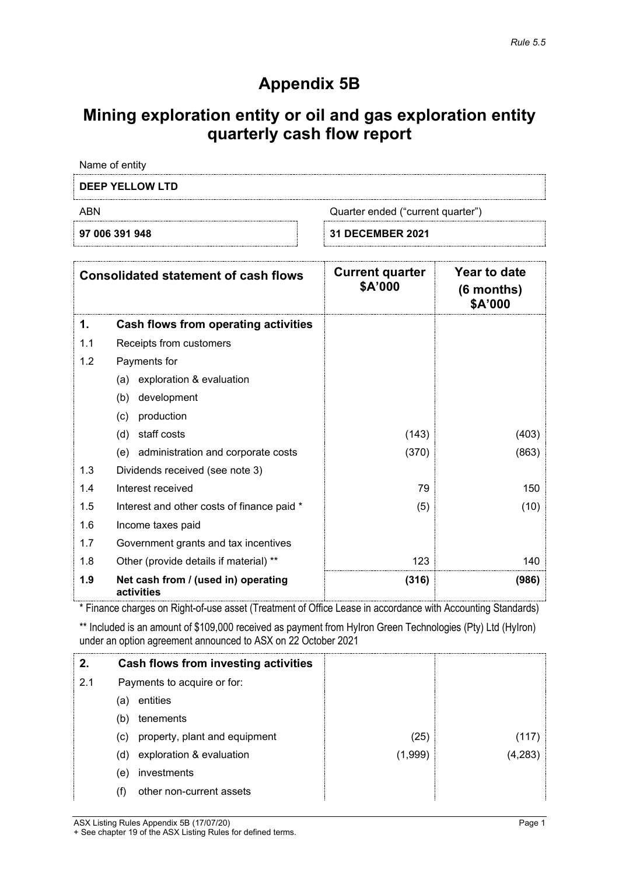# **Appendix 5B**

## **Mining exploration entity or oil and gas exploration entity quarterly cash flow report**

Name of entity

### **DEEP YELLOW LTD**

ABN Quarter ended ("current quarter")

**97 006 391 948 31 DECEMBER 2021**

| <b>Consolidated statement of cash flows</b> |                                                   | <b>Current quarter</b><br>\$A'000 | Year to date<br>$(6$ months)<br>\$A'000 |
|---------------------------------------------|---------------------------------------------------|-----------------------------------|-----------------------------------------|
| 1.                                          | Cash flows from operating activities              |                                   |                                         |
| 1.1                                         | Receipts from customers                           |                                   |                                         |
| 1.2                                         | Payments for                                      |                                   |                                         |
|                                             | exploration & evaluation<br>(a)                   |                                   |                                         |
|                                             | development<br>(b)                                |                                   |                                         |
|                                             | production<br>(c)                                 |                                   |                                         |
|                                             | staff costs<br>(d)                                | (143)                             | (403)                                   |
|                                             | administration and corporate costs<br>(e)         | (370)                             | (863)                                   |
| 1.3                                         | Dividends received (see note 3)                   |                                   |                                         |
| 1.4                                         | Interest received                                 | 79                                | 150                                     |
| 1.5                                         | Interest and other costs of finance paid *        | (5)                               | (10)                                    |
| 1.6                                         | Income taxes paid                                 |                                   |                                         |
| 1.7                                         | Government grants and tax incentives              |                                   |                                         |
| 1.8                                         | Other (provide details if material) **            | 123                               | 140                                     |
| 1.9                                         | Net cash from / (used in) operating<br>activities | (316)                             | (986)                                   |

\* Finance charges on Right-of-use asset (Treatment of Office Lease in accordance with Accounting Standards)

\*\* Included is an amount of \$109,000 received as payment from HyIron Green Technologies (Pty) Ltd (HyIron) under an option agreement announced to ASX on 22 October 2021

| 2.  |     | Cash flows from investing activities |         |         |
|-----|-----|--------------------------------------|---------|---------|
| 2.1 |     | Payments to acquire or for:          |         |         |
|     | (a) | entities                             |         |         |
|     | (b) | tenements                            |         |         |
|     | (c) | property, plant and equipment        | (25)    | 117)    |
|     | (d) | exploration & evaluation             | (1,999) | (4,283) |
|     | (e) | investments                          |         |         |
|     |     | other non-current assets             |         |         |

ASX Listing Rules Appendix 5B (17/07/20) Page 1 + See chapter 19 of the ASX Listing Rules for defined terms.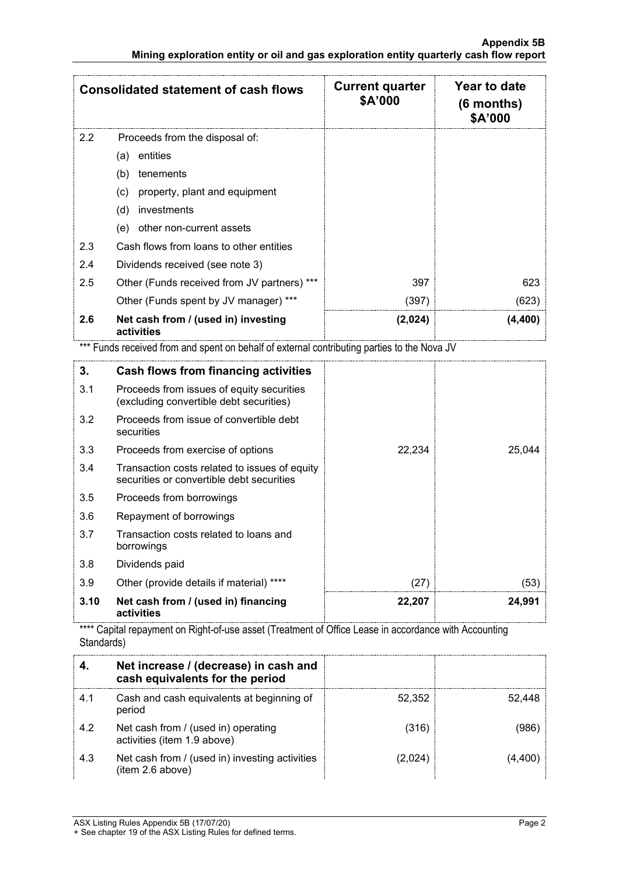| <b>Consolidated statement of cash flows</b> |                                                   | <b>Current quarter</b><br>\$A'000 | Year to date<br>$(6$ months)<br>\$A'000 |
|---------------------------------------------|---------------------------------------------------|-----------------------------------|-----------------------------------------|
| 2.2                                         | Proceeds from the disposal of:                    |                                   |                                         |
|                                             | entities<br>(a)                                   |                                   |                                         |
|                                             | (b)<br>tenements                                  |                                   |                                         |
|                                             | property, plant and equipment<br>(c)              |                                   |                                         |
|                                             | (d)<br>investments                                |                                   |                                         |
|                                             | other non-current assets<br>(e)                   |                                   |                                         |
| 2.3                                         | Cash flows from loans to other entities           |                                   |                                         |
| 2.4                                         | Dividends received (see note 3)                   |                                   |                                         |
| 2.5                                         | Other (Funds received from JV partners) ***       | 397                               | 623                                     |
|                                             | Other (Funds spent by JV manager) ***             | (397)                             | (623)                                   |
| 2.6                                         | Net cash from / (used in) investing<br>activities | (2,024)                           | (4, 400)                                |

\*\*\* Funds received from and spent on behalf of external contributing parties to the Nova JV

| 3.   | Cash flows from financing activities                                                       |        |        |
|------|--------------------------------------------------------------------------------------------|--------|--------|
| 3.1  | Proceeds from issues of equity securities<br>(excluding convertible debt securities)       |        |        |
| 3.2  | Proceeds from issue of convertible debt<br>securities                                      |        |        |
| 3.3  | Proceeds from exercise of options                                                          | 22,234 | 25,044 |
| 3.4  | Transaction costs related to issues of equity<br>securities or convertible debt securities |        |        |
| 3.5  | Proceeds from borrowings                                                                   |        |        |
| 3.6  | Repayment of borrowings                                                                    |        |        |
| 3.7  | Transaction costs related to loans and<br>borrowings                                       |        |        |
| 3.8  | Dividends paid                                                                             |        |        |
| 3.9  | Other (provide details if material) ****                                                   | (27)   | (53)   |
| 3.10 | Net cash from / (used in) financing<br>activities                                          | 22,207 | 24,991 |

\*\*\*\* Capital repayment on Right-of-use asset (Treatment of Office Lease in accordance with Accounting Standards)

|     | Net increase / (decrease) in cash and<br>cash equivalents for the period |        |  |
|-----|--------------------------------------------------------------------------|--------|--|
|     | Cash and cash equivalents at beginning of<br>period                      | 52.352 |  |
| 4.2 | Net cash from / (used in) operating<br>activities (item 1.9 above)       | (316)  |  |
| 4.3 | Net cash from / (used in) investing activities<br>(item 2.6 above)       | 2.024  |  |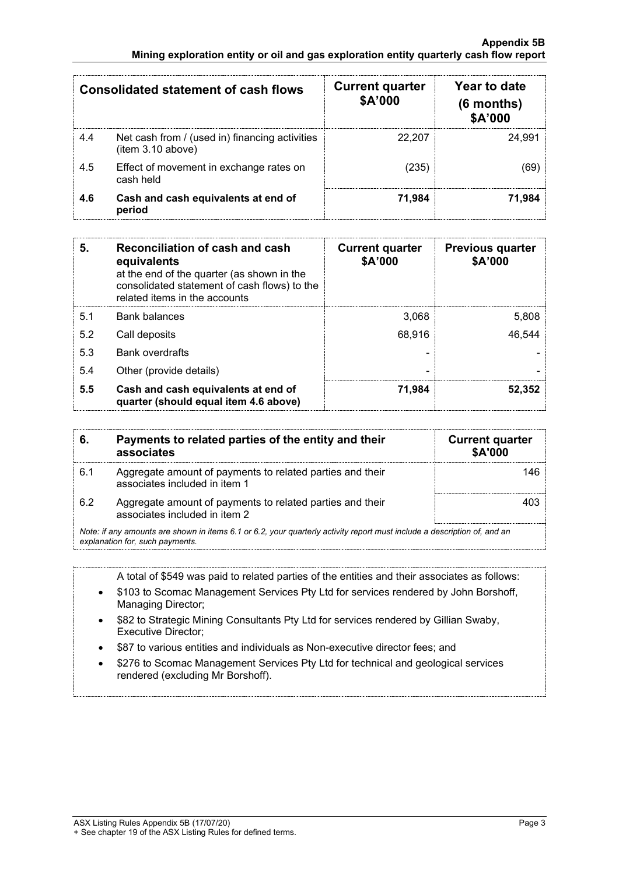|     | Consolidated statement of cash flows                                | <b>Current quarter</b><br>\$A'000 | Year to date<br>$(6$ months)<br>\$A'000 |
|-----|---------------------------------------------------------------------|-----------------------------------|-----------------------------------------|
| 4.4 | Net cash from / (used in) financing activities<br>(item 3.10 above) | 22.207                            | 24.991                                  |
| 4.5 | Effect of movement in exchange rates on<br>cash held                | (235)                             |                                         |
| 4.6 | Cash and cash equivalents at end of<br>period                       | 71,984                            | 71.984                                  |

| 5.  | Reconciliation of cash and cash<br>equivalents<br>at the end of the quarter (as shown in the<br>consolidated statement of cash flows) to the<br>related items in the accounts | <b>Current quarter</b><br>\$A'000 | <b>Previous quarter</b><br>\$A'000 |
|-----|-------------------------------------------------------------------------------------------------------------------------------------------------------------------------------|-----------------------------------|------------------------------------|
| 5.1 | <b>Bank balances</b>                                                                                                                                                          | 3,068                             | 5,808                              |
| 5.2 | Call deposits                                                                                                                                                                 | 68.916                            | 46,544                             |
| 5.3 | <b>Bank overdrafts</b>                                                                                                                                                        |                                   |                                    |
| 5.4 | Other (provide details)                                                                                                                                                       |                                   |                                    |
| 5.5 | Cash and cash equivalents at end of<br>quarter (should equal item 4.6 above)                                                                                                  | 71.984                            | 52.352                             |

|     | Payments to related parties of the entity and their<br>associates                                                                                           | <b>Current quarter</b><br><b>\$A'000</b> |
|-----|-------------------------------------------------------------------------------------------------------------------------------------------------------------|------------------------------------------|
| 6.1 | Aggregate amount of payments to related parties and their<br>associates included in item 1                                                                  |                                          |
| 6.2 | Aggregate amount of payments to related parties and their<br>associates included in item 2                                                                  |                                          |
|     | Note: if any amounts are shown in items 6.1 or 6.2, your quarterly activity report must include a description of, and an<br>explanation for, such payments. |                                          |

A total of \$549 was paid to related parties of the entities and their associates as follows:

- \$103 to Scomac Management Services Pty Ltd for services rendered by John Borshoff, Managing Director;
- \$82 to Strategic Mining Consultants Pty Ltd for services rendered by Gillian Swaby, Executive Director;
- \$87 to various entities and individuals as Non-executive director fees; and
- \$276 to Scomac Management Services Pty Ltd for technical and geological services rendered (excluding Mr Borshoff).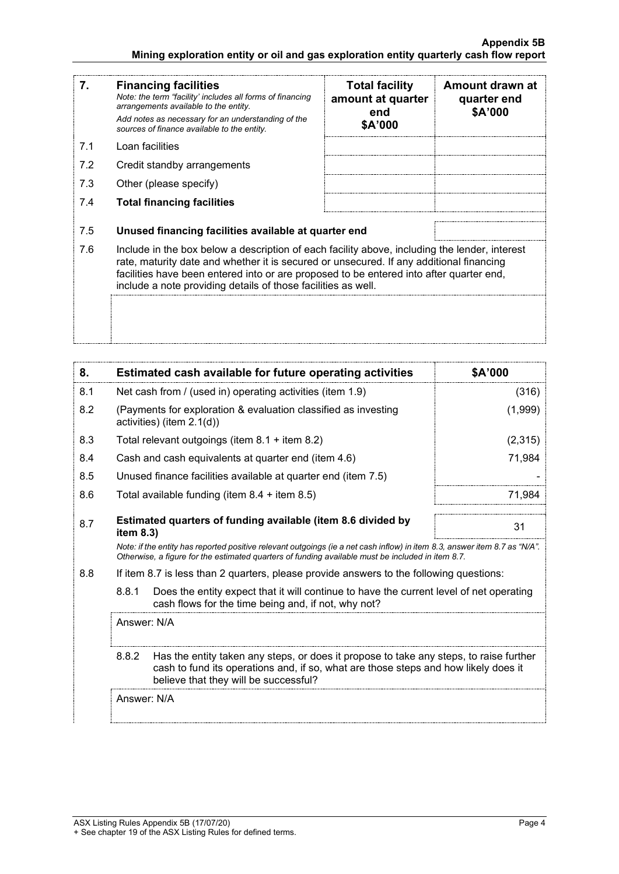#### **Appendix 5B Mining exploration entity or oil and gas exploration entity quarterly cash flow report**

| 7.  | <b>Financing facilities</b><br>Note: the term "facility' includes all forms of financing<br>arrangements available to the entity.<br>Add notes as necessary for an understanding of the<br>sources of finance available to the entity.                                                                                                               | <b>Total facility</b><br>amount at quarter<br>end<br>\$A'000 | Amount drawn at<br>quarter end<br>\$A'000 |
|-----|------------------------------------------------------------------------------------------------------------------------------------------------------------------------------------------------------------------------------------------------------------------------------------------------------------------------------------------------------|--------------------------------------------------------------|-------------------------------------------|
| 7.1 | Loan facilities                                                                                                                                                                                                                                                                                                                                      |                                                              |                                           |
| 7.2 | Credit standby arrangements                                                                                                                                                                                                                                                                                                                          |                                                              |                                           |
| 7.3 | Other (please specify)                                                                                                                                                                                                                                                                                                                               |                                                              |                                           |
| 7.4 | <b>Total financing facilities</b>                                                                                                                                                                                                                                                                                                                    |                                                              |                                           |
| 7.5 | Unused financing facilities available at quarter end                                                                                                                                                                                                                                                                                                 |                                                              |                                           |
| 7.6 | Include in the box below a description of each facility above, including the lender, interest<br>rate, maturity date and whether it is secured or unsecured. If any additional financing<br>facilities have been entered into or are proposed to be entered into after quarter end,<br>include a note providing details of those facilities as well. |                                                              |                                           |
|     |                                                                                                                                                                                                                                                                                                                                                      |                                                              |                                           |

| 8.  | Estimated cash available for future operating activities                                                                                                                                                                        | \$A'000 |  |
|-----|---------------------------------------------------------------------------------------------------------------------------------------------------------------------------------------------------------------------------------|---------|--|
| 8.1 | Net cash from / (used in) operating activities (item 1.9)                                                                                                                                                                       | (316)   |  |
| 8.2 | (Payments for exploration & evaluation classified as investing<br>activities) (item $2.1(d)$ )                                                                                                                                  |         |  |
| 8.3 | Total relevant outgoings (item 8.1 + item 8.2)                                                                                                                                                                                  | (2,315) |  |
| 8.4 | Cash and cash equivalents at quarter end (item 4.6)                                                                                                                                                                             | 71,984  |  |
| 8.5 | Unused finance facilities available at quarter end (item 7.5)                                                                                                                                                                   |         |  |
| 8.6 | Total available funding (item $8.4 +$ item $8.5$ )                                                                                                                                                                              | 71.984  |  |
| 8.7 | Estimated quarters of funding available (item 8.6 divided by<br>31<br>item $8.3$ )                                                                                                                                              |         |  |
|     | Note: if the entity has reported positive relevant outgoings (ie a net cash inflow) in item 8.3, answer item 8.7 as "N/A".<br>Otherwise, a figure for the estimated quarters of funding available must be included in item 8.7. |         |  |
| 8.8 | If item 8.7 is less than 2 quarters, please provide answers to the following questions:                                                                                                                                         |         |  |
|     | 8.8.1<br>Does the entity expect that it will continue to have the current level of net operating<br>cash flows for the time being and, if not, why not?                                                                         |         |  |
|     | Answer: N/A                                                                                                                                                                                                                     |         |  |
|     | 8.8.2<br>Has the entity taken any steps, or does it propose to take any steps, to raise further<br>cash to fund its operations and, if so, what are those steps and how likely does it<br>believe that they will be successful? |         |  |
|     | Answer: N/A                                                                                                                                                                                                                     |         |  |